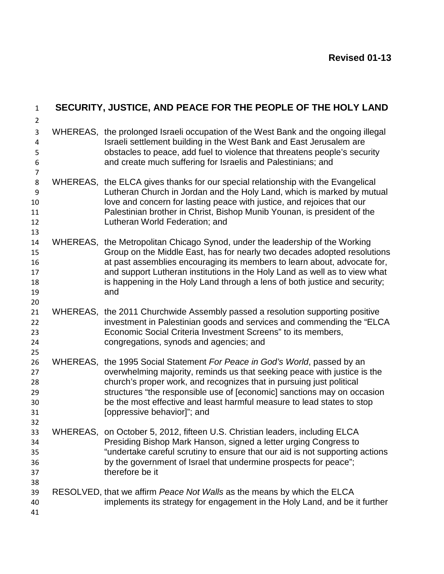| $1\,$                                                        |          | SECURITY, JUSTICE, AND PEACE FOR THE PEOPLE OF THE HOLY LAND                                                                                                                                                                                                                                                                                                                                             |
|--------------------------------------------------------------|----------|----------------------------------------------------------------------------------------------------------------------------------------------------------------------------------------------------------------------------------------------------------------------------------------------------------------------------------------------------------------------------------------------------------|
| $\overline{2}$<br>3<br>$\pmb{4}$<br>5<br>6<br>$\overline{7}$ |          | WHEREAS, the prolonged Israeli occupation of the West Bank and the ongoing illegal<br>Israeli settlement building in the West Bank and East Jerusalem are<br>obstacles to peace, add fuel to violence that threatens people's security<br>and create much suffering for Israelis and Palestinians; and                                                                                                   |
| 8<br>9<br>10<br>11<br>12                                     |          | WHEREAS, the ELCA gives thanks for our special relationship with the Evangelical<br>Lutheran Church in Jordan and the Holy Land, which is marked by mutual<br>love and concern for lasting peace with justice, and rejoices that our<br>Palestinian brother in Christ, Bishop Munib Younan, is president of the<br>Lutheran World Federation; and                                                        |
| 13<br>14<br>15<br>16<br>17<br>18<br>19<br>20                 |          | WHEREAS, the Metropolitan Chicago Synod, under the leadership of the Working<br>Group on the Middle East, has for nearly two decades adopted resolutions<br>at past assemblies encouraging its members to learn about, advocate for,<br>and support Lutheran institutions in the Holy Land as well as to view what<br>is happening in the Holy Land through a lens of both justice and security;<br>and  |
| 21<br>22<br>23<br>24<br>25                                   |          | WHEREAS, the 2011 Churchwide Assembly passed a resolution supporting positive<br>investment in Palestinian goods and services and commending the "ELCA<br>Economic Social Criteria Investment Screens" to its members,<br>congregations, synods and agencies; and                                                                                                                                        |
| 26<br>27<br>28<br>29<br>30<br>31<br>32                       | WHEREAS, | the 1995 Social Statement For Peace in God's World, passed by an<br>overwhelming majority, reminds us that seeking peace with justice is the<br>church's proper work, and recognizes that in pursuing just political<br>structures "the responsible use of [economic] sanctions may on occasion<br>be the most effective and least harmful measure to lead states to stop<br>[oppressive behavior]"; and |
| 33<br>34<br>35<br>36<br>37                                   |          | WHEREAS, on October 5, 2012, fifteen U.S. Christian leaders, including ELCA<br>Presiding Bishop Mark Hanson, signed a letter urging Congress to<br>"undertake careful scrutiny to ensure that our aid is not supporting actions<br>by the government of Israel that undermine prospects for peace";<br>therefore be it                                                                                   |
| 38<br>39<br>40<br>41                                         |          | RESOLVED, that we affirm Peace Not Walls as the means by which the ELCA<br>implements its strategy for engagement in the Holy Land, and be it further                                                                                                                                                                                                                                                    |